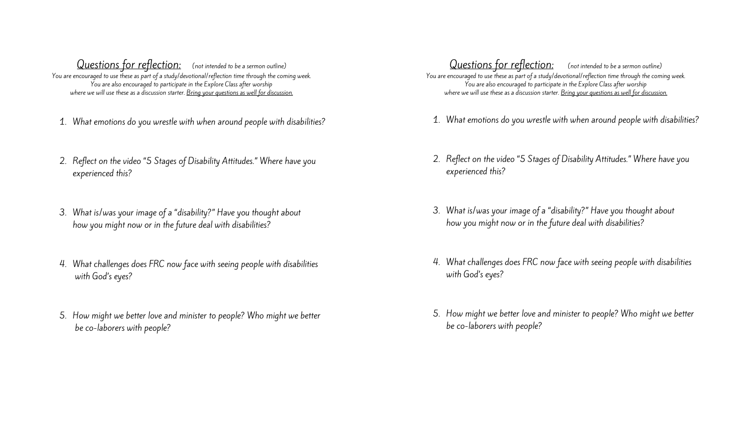Questions for reflection: (not intended to be a sermon outline) You are encouraged to use these as part of a study/devotional/reflection time through the coming week. You are also encouraged to participate in the Explore Class after worship where we will use these as a discussion starter. Bring your questions as well for discussion.

- 1. What emotions do you wrestle with when around people with disabilities?
- 2. Reflect on the video "5 Stages of Disability Attitudes." Where have you experienced this?
- 3. What is/was your image of a "disability?" Have you thought about how you might now or in the future deal with disabilities?
- 4. What challenges does FRC now face with seeing people with disabilities with God's eyes?
- 5. How might we better love and minister to people? Who might we better be co-laborers with people?

Questions for reflection: (not intended to be a sermon outline) You are encouraged to use these as part of a study/devotional/reflection time through the coming week. You are also encouraged to participate in the Explore Class after worship where we will use these as a discussion starter. Bring your questions as well for discussion.

- 1. What emotions do you wrestle with when around people with disabilities?
- 2. Reflect on the video "5 Stages of Disability Attitudes." Where have you experienced this?
- 3. What is/was your image of a "disability?" Have you thought about how you might now or in the future deal with disabilities?
- 4. What challenges does FRC now face with seeing people with disabilities with God's eyes?
- 5. How might we better love and minister to people? Who might we better be co-laborers with people?